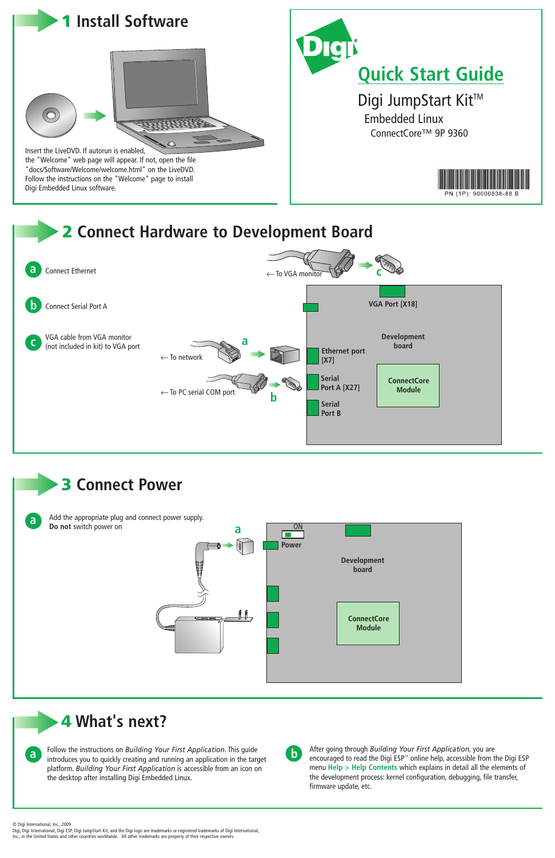© Digi International, Inc., 2009

**a b** Follow the instructions on *Building Your First Application*. This guide introduces you to quickly creating and running an application in the target platform. *Building Your First Application* is accessible from an icon on the desktop after installing Digi Embedded Linux.

Digi, Digi International, Digi ESP, Digi JumpStart Kit, and the Digi logo are trademarks or registered trademarks of Digi International, Inc., in the United States and other countries worldwide. All other trademarks are property of their respective owners.

# **4 What's next?**



After going through *Building Your First Application*, you are encouraged to read the Digi ESP™ online help, accessible from the Digi ESP menu **Help > Help Contents** which explains in detail all the elements of the development process: kernel configuration, debugging, file transfer, firmware update, etc.

**3 Connect Power**